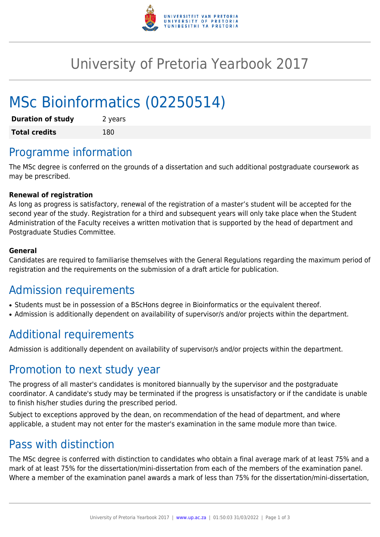

## University of Pretoria Yearbook 2017

# MSc Bioinformatics (02250514)

| <b>Duration of study</b> | 2 years |
|--------------------------|---------|
| <b>Total credits</b>     | 180     |

### Programme information

The MSc degree is conferred on the grounds of a dissertation and such additional postgraduate coursework as may be prescribed.

#### **Renewal of registration**

As long as progress is satisfactory, renewal of the registration of a master's student will be accepted for the second year of the study. Registration for a third and subsequent years will only take place when the Student Administration of the Faculty receives a written motivation that is supported by the head of department and Postgraduate Studies Committee.

#### **General**

Candidates are required to familiarise themselves with the General Regulations regarding the maximum period of registration and the requirements on the submission of a draft article for publication.

### Admission requirements

- Students must be in possession of a BScHons degree in Bioinformatics or the equivalent thereof.
- Admission is additionally dependent on availability of supervisor/s and/or projects within the department.

### Additional requirements

Admission is additionally dependent on availability of supervisor/s and/or projects within the department.

### Promotion to next study year

The progress of all master's candidates is monitored biannually by the supervisor and the postgraduate coordinator. A candidate's study may be terminated if the progress is unsatisfactory or if the candidate is unable to finish his/her studies during the prescribed period.

Subject to exceptions approved by the dean, on recommendation of the head of department, and where applicable, a student may not enter for the master's examination in the same module more than twice.

### Pass with distinction

The MSc degree is conferred with distinction to candidates who obtain a final average mark of at least 75% and a mark of at least 75% for the dissertation/mini-dissertation from each of the members of the examination panel. Where a member of the examination panel awards a mark of less than 75% for the dissertation/mini-dissertation,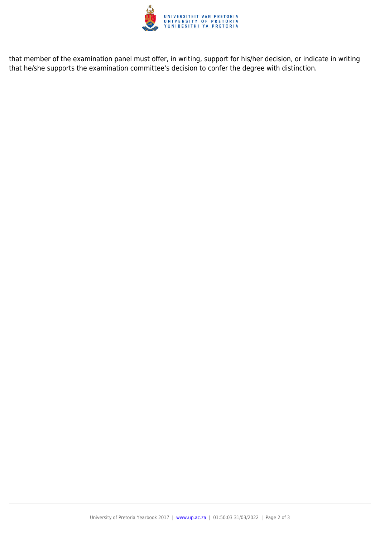

that member of the examination panel must offer, in writing, support for his/her decision, or indicate in writing that he/she supports the examination committee's decision to confer the degree with distinction.